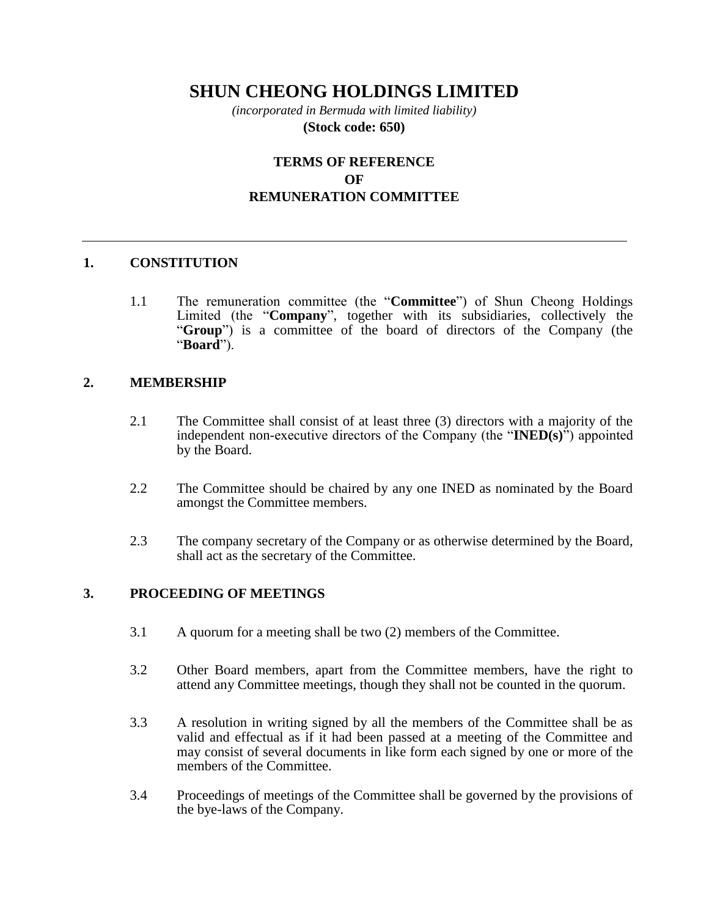# **SHUN CHEONG HOLDINGS LIMITED**

*(incorporated in Bermuda with limited liability)* **(Stock code: 650)**

# **TERMS OF REFERENCE OF REMUNERATION COMMITTEE**

#### **1. CONSTITUTION**

1.1 The remuneration committee (the "**Committee**") of Shun Cheong Holdings Limited (the "**Company**", together with its subsidiaries, collectively the "**Group**") is a committee of the board of directors of the Company (the "**Board**").

#### **2. MEMBERSHIP**

- 2.1 The Committee shall consist of at least three (3) directors with a majority of the independent non-executive directors of the Company (the "**INED(s)**") appointed by the Board.
- 2.2 The Committee should be chaired by any one INED as nominated by the Board amongst the Committee members.
- 2.3 The company secretary of the Company or as otherwise determined by the Board, shall act as the secretary of the Committee.

#### **3. PROCEEDING OF MEETINGS**

- 3.1 A quorum for a meeting shall be two (2) members of the Committee.
- 3.2 Other Board members, apart from the Committee members, have the right to attend any Committee meetings, though they shall not be counted in the quorum.
- 3.3 A resolution in writing signed by all the members of the Committee shall be as valid and effectual as if it had been passed at a meeting of the Committee and may consist of several documents in like form each signed by one or more of the members of the Committee.
- 3.4 Proceedings of meetings of the Committee shall be governed by the provisions of the bye-laws of the Company.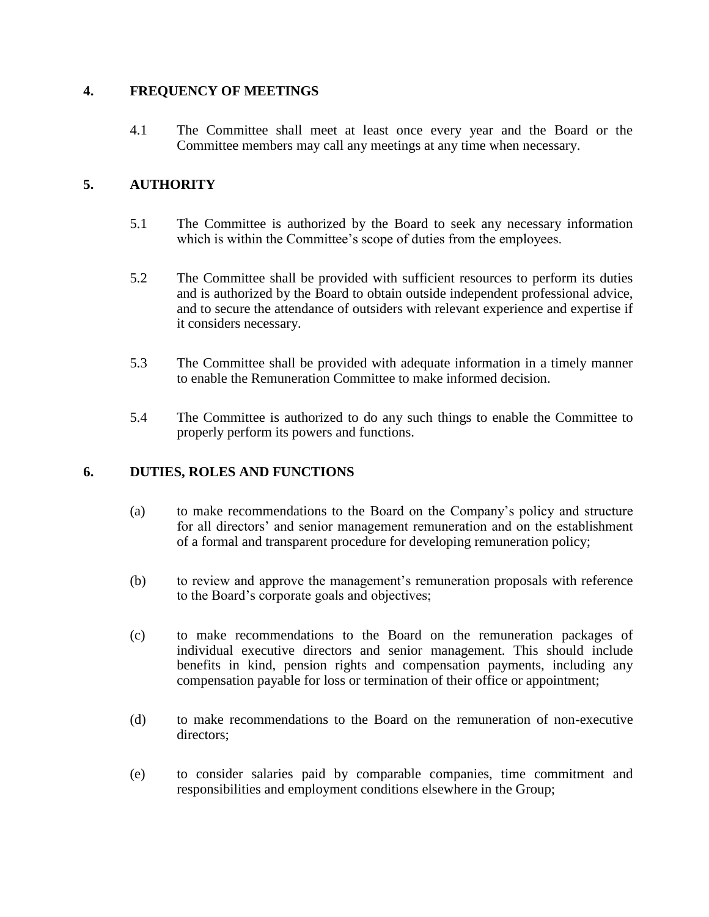### **4. FREQUENCY OF MEETINGS**

4.1 The Committee shall meet at least once every year and the Board or the Committee members may call any meetings at any time when necessary.

# **5. AUTHORITY**

- 5.1 The Committee is authorized by the Board to seek any necessary information which is within the Committee's scope of duties from the employees.
- 5.2 The Committee shall be provided with sufficient resources to perform its duties and is authorized by the Board to obtain outside independent professional advice, and to secure the attendance of outsiders with relevant experience and expertise if it considers necessary.
- 5.3 The Committee shall be provided with adequate information in a timely manner to enable the Remuneration Committee to make informed decision.
- 5.4 The Committee is authorized to do any such things to enable the Committee to properly perform its powers and functions.

## **6. DUTIES, ROLES AND FUNCTIONS**

- (a) to make recommendations to the Board on the Company's policy and structure for all directors' and senior management remuneration and on the establishment of a formal and transparent procedure for developing remuneration policy;
- (b) to review and approve the management's remuneration proposals with reference to the Board's corporate goals and objectives;
- (c) to make recommendations to the Board on the remuneration packages of individual executive directors and senior management. This should include benefits in kind, pension rights and compensation payments, including any compensation payable for loss or termination of their office or appointment;
- (d) to make recommendations to the Board on the remuneration of non-executive directors;
- (e) to consider salaries paid by comparable companies, time commitment and responsibilities and employment conditions elsewhere in the Group;